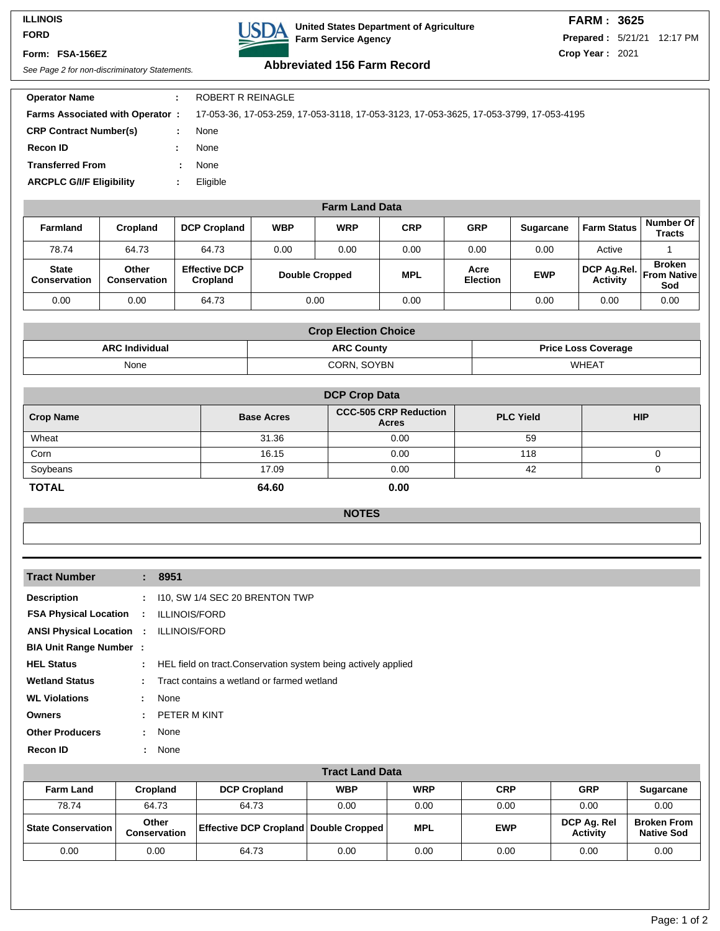### **ILLINOIS FORD**

#### **Form: FSA-156EZ**



## **FARM : 3625**

**Prepared :** 5/21/21 12:17 PM **Crop Year :** 2021

# See Page 2 for non-discriminatory Statements. **Abbreviated 156 Farm Record**

| <b>Operator Name</b>                   |   | ROBERT R REINAGLE                                                                      |
|----------------------------------------|---|----------------------------------------------------------------------------------------|
| <b>Farms Associated with Operator:</b> |   | 17-053-36, 17-053-259, 17-053-3118, 17-053-3123, 17-053-3625, 17-053-3799, 17-053-4195 |
| <b>CRP Contract Number(s)</b>          |   | None                                                                                   |
| <b>Recon ID</b>                        |   | None                                                                                   |
| <b>Transferred From</b>                | ÷ | None                                                                                   |
| <b>ARCPLC G/I/F Eligibility</b>        |   | Eligible                                                                               |
|                                        |   |                                                                                        |

| <b>Farm Land Data</b>               |                       |                                  |            |                       |            |                         |                  |                                |                                             |
|-------------------------------------|-----------------------|----------------------------------|------------|-----------------------|------------|-------------------------|------------------|--------------------------------|---------------------------------------------|
| <b>Farmland</b>                     | Cropland              | <b>DCP Cropland</b>              | <b>WBP</b> | <b>WRP</b>            | <b>CRP</b> | <b>GRP</b>              | <b>Sugarcane</b> | <b>Farm Status</b>             | Number Of<br><b>Tracts</b>                  |
| 78.74                               | 64.73                 | 64.73                            | 0.00       | 0.00                  | 0.00       | 0.00                    | 0.00             | Active                         |                                             |
| <b>State</b><br><b>Conservation</b> | Other<br>Conservation | <b>Effective DCP</b><br>Cropland |            | <b>Double Cropped</b> | <b>MPL</b> | Acre<br><b>Election</b> | <b>EWP</b>       | DCP Ag.Rel.<br><b>Activity</b> | <b>Broken</b><br><b>From Nativel</b><br>Sod |
| 0.00                                | 0.00                  | 64.73                            |            | 0.00                  | 0.00       |                         | 0.00             | 0.00                           | 0.00                                        |

| <b>Crop Election Choice</b> |                   |                            |  |  |  |
|-----------------------------|-------------------|----------------------------|--|--|--|
| <b>ARC Individual</b>       | <b>ARC County</b> | <b>Price Loss Coverage</b> |  |  |  |
| None                        | CORN, SOYBN       | WHEAT                      |  |  |  |

| <b>DCP Crop Data</b> |                   |                                              |                  |            |  |  |
|----------------------|-------------------|----------------------------------------------|------------------|------------|--|--|
| <b>Crop Name</b>     | <b>Base Acres</b> | <b>CCC-505 CRP Reduction</b><br><b>Acres</b> | <b>PLC Yield</b> | <b>HIP</b> |  |  |
| Wheat                | 31.36             | 0.00                                         | 59               |            |  |  |
| Corn                 | 16.15             | 0.00                                         | 118              |            |  |  |
| Soybeans             | 17.09             | 0.00                                         | 42               |            |  |  |
| <b>TOTAL</b>         | 64.60             | 0.00                                         |                  |            |  |  |

#### **NOTES**

|               | : 8951                                                         |
|---------------|----------------------------------------------------------------|
|               | $: 110$ , SW 1/4 SEC 20 BRENTON TWP                            |
| $\mathcal{L}$ | <b>ILLINOIS/FORD</b>                                           |
|               | <b>ANSI Physical Location : ILLINOIS/FORD</b>                  |
|               |                                                                |
| ÷.            | HEL field on tract. Conservation system being actively applied |
|               | Tract contains a wetland or farmed wetland                     |
| $\mathbf{L}$  | None                                                           |
| $\mathcal{L}$ | PETER M KINT                                                   |
| t.            | None                                                           |
| ÷.            | None                                                           |
|               | <b>FSA Physical Location</b><br><b>BIA Unit Range Number:</b>  |

| <b>Tract Land Data</b>      |                       |                                              |            |            |            |                                |                                         |
|-----------------------------|-----------------------|----------------------------------------------|------------|------------|------------|--------------------------------|-----------------------------------------|
| <b>Farm Land</b>            | <b>Cropland</b>       | <b>DCP Cropland</b>                          | <b>WBP</b> | <b>WRP</b> | <b>CRP</b> | <b>GRP</b>                     | <b>Sugarcane</b>                        |
| 78.74                       | 64.73                 | 64.73                                        | 0.00       | 0.00       | 0.00       | 0.00                           | 0.00                                    |
| <b>State Conservation  </b> | Other<br>Conservation | <b>Effective DCP Cropland Double Cropped</b> |            | <b>MPL</b> | <b>EWP</b> | DCP Ag. Rel<br><b>Activity</b> | <b>Broken From</b><br><b>Native Sod</b> |
| 0.00                        | 0.00                  | 64.73                                        | 0.00       | 0.00       | 0.00       | 0.00                           | 0.00                                    |